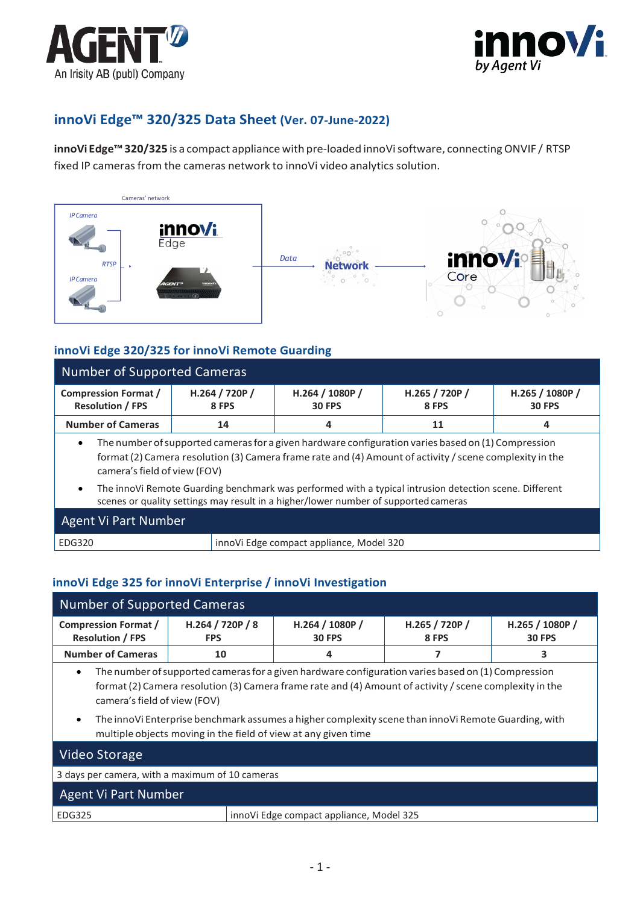



# **innoVi Edge™ 320/325 Data Sheet (Ver. 07-June-2022)**

**innoVi Edge™ 320/325** is a compact appliance with pre-loaded innoVisoftware, connectingONVIF / RTSP fixed IP cameras from the cameras network to innoVi video analytics solution.







# **innoVi Edge 320/325 for innoVi Remote Guarding**

| <b>Number of Supported Cameras</b>                                                                                                                                                                                                                         |                         |                                  |                         |                                  |  |
|------------------------------------------------------------------------------------------------------------------------------------------------------------------------------------------------------------------------------------------------------------|-------------------------|----------------------------------|-------------------------|----------------------------------|--|
| <b>Compression Format /</b><br><b>Resolution / FPS</b>                                                                                                                                                                                                     | H.264 / 720P /<br>8 FPS | H.264 / 1080P /<br><b>30 FPS</b> | H.265 / 720P /<br>8 FPS | H.265 / 1080P /<br><b>30 FPS</b> |  |
| <b>Number of Cameras</b>                                                                                                                                                                                                                                   | 14                      | 4                                | 11                      | 4                                |  |
| The number of supported cameras for a given hardware configuration varies based on (1) Compression<br>$\bullet$<br>format (2) Camera resolution (3) Camera frame rate and (4) Amount of activity / scene complexity in the<br>camera's field of view (FOV) |                         |                                  |                         |                                  |  |
| The innoVi Remote Guarding benchmark was performed with a typical intrusion detection scene. Different<br>$\bullet$<br>scenes or quality settings may result in a higher/lower number of supported cameras                                                 |                         |                                  |                         |                                  |  |
| <b>Agent Vi Part Number</b>                                                                                                                                                                                                                                |                         |                                  |                         |                                  |  |

# **innoVi Edge 325 for innoVi Enterprise / innoVi Investigation**

EDG320 innoVi Edge compact appliance, Model 320

| <b>Number of Supported Cameras</b>                     |                                                                |                                                                                                                                                                                                                                                                                                                        |                         |                                  |  |
|--------------------------------------------------------|----------------------------------------------------------------|------------------------------------------------------------------------------------------------------------------------------------------------------------------------------------------------------------------------------------------------------------------------------------------------------------------------|-------------------------|----------------------------------|--|
| <b>Compression Format /</b><br><b>Resolution / FPS</b> | H.264 / 720P / 8<br><b>FPS</b>                                 | H.264 / 1080P /<br><b>30 FPS</b>                                                                                                                                                                                                                                                                                       | H.265 / 720P /<br>8 FPS | H.265 / 1080P /<br><b>30 FPS</b> |  |
| <b>Number of Cameras</b>                               | 10                                                             | 4                                                                                                                                                                                                                                                                                                                      |                         | З                                |  |
| $\bullet$<br>camera's field of view (FOV)<br>$\bullet$ | multiple objects moving in the field of view at any given time | The number of supported cameras for a given hardware configuration varies based on (1) Compression<br>format (2) Camera resolution (3) Camera frame rate and (4) Amount of activity / scene complexity in the<br>The inno Vi Enterprise benchmark assumes a higher complexity scene than inno Vi Remote Guarding, with |                         |                                  |  |
| Video Storage                                          |                                                                |                                                                                                                                                                                                                                                                                                                        |                         |                                  |  |
| 3 days per camera, with a maximum of 10 cameras        |                                                                |                                                                                                                                                                                                                                                                                                                        |                         |                                  |  |
| Agent Vi Part Number                                   |                                                                |                                                                                                                                                                                                                                                                                                                        |                         |                                  |  |

| <b>Agent Vi Part Number</b> |                                          |
|-----------------------------|------------------------------------------|
| EDG325                      | innoVi Edge compact appliance, Model 325 |